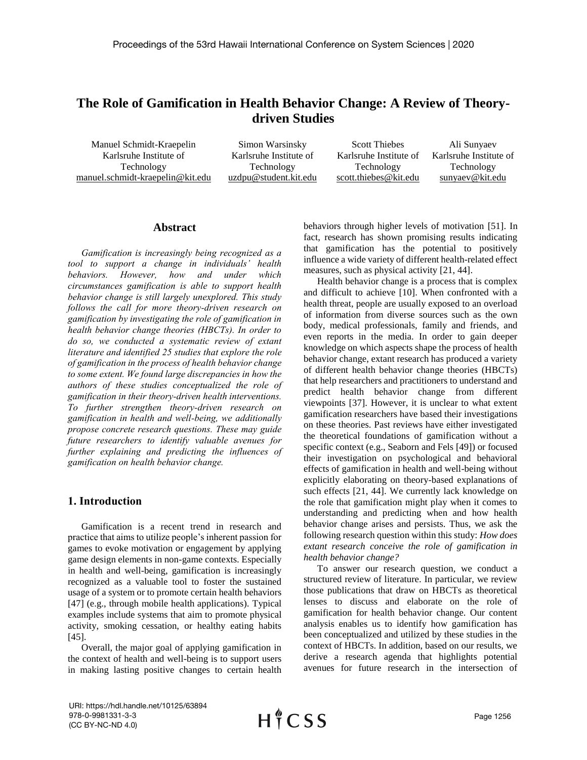# **The Role of Gamification in Health Behavior Change: A Review of Theorydriven Studies**

Manuel Schmidt-Kraepelin Karlsruhe Institute of Technology manuel.schmidt-kraepelin@kit.edu

Simon Warsinsky Karlsruhe Institute of Technology uzdpu@student.kit.edu

Scott Thiebes Karlsruhe Institute of Technology scott.thiebes@kit.edu Ali Sunyaev Karlsruhe Institute of Technology sunyaev@kit.edu

### **Abstract**

*Gamification is increasingly being recognized as a tool to support a change in individuals' health behaviors. However, how and under which circumstances gamification is able to support health behavior change is still largely unexplored. This study follows the call for more theory-driven research on gamification by investigating the role of gamification in health behavior change theories (HBCTs). In order to do so, we conducted a systematic review of extant literature and identified 25 studies that explore the role of gamification in the process of health behavior change to some extent. We found large discrepancies in how the authors of these studies conceptualized the role of gamification in their theory-driven health interventions. To further strengthen theory-driven research on gamification in health and well-being, we additionally propose concrete research questions. These may guide future researchers to identify valuable avenues for further explaining and predicting the influences of gamification on health behavior change.*

#### **1. Introduction**

Gamification is a recent trend in research and practice that aims to utilize people's inherent passion for games to evoke motivation or engagement by applying game design elements in non-game contexts. Especially in health and well-being, gamification is increasingly recognized as a valuable tool to foster the sustained usage of a system or to promote certain health behaviors [47] (e.g., through mobile health applications). Typical examples include systems that aim to promote physical activity, smoking cessation, or healthy eating habits [45].

Overall, the major goal of applying gamification in the context of health and well-being is to support users in making lasting positive changes to certain health behaviors through higher levels of motivation [51]. In fact, research has shown promising results indicating that gamification has the potential to positively influence a wide variety of different health-related effect measures, such as physical activity [21, 44].

Health behavior change is a process that is complex and difficult to achieve [10]. When confronted with a health threat, people are usually exposed to an overload of information from diverse sources such as the own body, medical professionals, family and friends, and even reports in the media. In order to gain deeper knowledge on which aspects shape the process of health behavior change, extant research has produced a variety of different health behavior change theories (HBCTs) that help researchers and practitioners to understand and predict health behavior change from different viewpoints [37]. However, it is unclear to what extent gamification researchers have based their investigations on these theories. Past reviews have either investigated the theoretical foundations of gamification without a specific context (e.g., Seaborn and Fels [49]) or focused their investigation on psychological and behavioral effects of gamification in health and well-being without explicitly elaborating on theory-based explanations of such effects [21, 44]. We currently lack knowledge on the role that gamification might play when it comes to understanding and predicting when and how health behavior change arises and persists. Thus, we ask the following research question within this study: *How does extant research conceive the role of gamification in health behavior change?*

To answer our research question, we conduct a structured review of literature. In particular, we review those publications that draw on HBCTs as theoretical lenses to discuss and elaborate on the role of gamification for health behavior change. Our content analysis enables us to identify how gamification has been conceptualized and utilized by these studies in the context of HBCTs. In addition, based on our results, we derive a research agenda that highlights potential avenues for future research in the intersection of

URI: https://hdl.handle.net/10125/63894 978-0-9981331-3-3 (CC BY-NC-ND 4.0)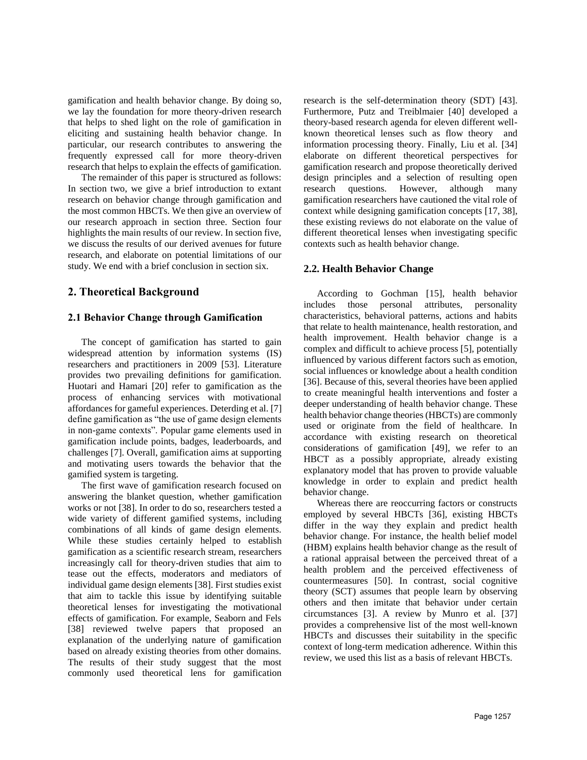gamification and health behavior change. By doing so, we lay the foundation for more theory-driven research that helps to shed light on the role of gamification in eliciting and sustaining health behavior change. In particular, our research contributes to answering the frequently expressed call for more theory-driven research that helps to explain the effects of gamification.

The remainder of this paper is structured as follows: In section two, we give a brief introduction to extant research on behavior change through gamification and the most common HBCTs. We then give an overview of our research approach in section three. Section four highlights the main results of our review. In section five, we discuss the results of our derived avenues for future research, and elaborate on potential limitations of our study. We end with a brief conclusion in section six.

# **2. Theoretical Background**

#### **2.1 Behavior Change through Gamification**

The concept of gamification has started to gain widespread attention by information systems (IS) researchers and practitioners in 2009 [53]. Literature provides two prevailing definitions for gamification. Huotari and Hamari [20] refer to gamification as the process of enhancing services with motivational affordances for gameful experiences. Deterding et al. [7] define gamification as "the use of game design elements in non-game contexts". Popular game elements used in gamification include points, badges, leaderboards, and challenges [7]. Overall, gamification aims at supporting and motivating users towards the behavior that the gamified system is targeting.

The first wave of gamification research focused on answering the blanket question, whether gamification works or not [38]. In order to do so, researchers tested a wide variety of different gamified systems, including combinations of all kinds of game design elements. While these studies certainly helped to establish gamification as a scientific research stream, researchers increasingly call for theory-driven studies that aim to tease out the effects, moderators and mediators of individual game design elements [38]. First studies exist that aim to tackle this issue by identifying suitable theoretical lenses for investigating the motivational effects of gamification. For example, Seaborn and Fels [38] reviewed twelve papers that proposed an explanation of the underlying nature of gamification based on already existing theories from other domains. The results of their study suggest that the most commonly used theoretical lens for gamification

research is the self-determination theory (SDT) [43]. Furthermore, Putz and Treiblmaier [40] developed a theory-based research agenda for eleven different wellknown theoretical lenses such as flow theory and information processing theory. Finally, Liu et al. [34] elaborate on different theoretical perspectives for gamification research and propose theoretically derived design principles and a selection of resulting open research questions. However, although many gamification researchers have cautioned the vital role of context while designing gamification concepts [17, 38], these existing reviews do not elaborate on the value of different theoretical lenses when investigating specific contexts such as health behavior change.

#### **2.2. Health Behavior Change**

According to Gochman [15], health behavior includes those personal attributes, personality characteristics, behavioral patterns, actions and habits that relate to health maintenance, health restoration, and health improvement. Health behavior change is a complex and difficult to achieve process [5], potentially influenced by various different factors such as emotion, social influences or knowledge about a health condition [36]. Because of this, several theories have been applied to create meaningful health interventions and foster a deeper understanding of health behavior change. These health behavior change theories (HBCTs) are commonly used or originate from the field of healthcare. In accordance with existing research on theoretical considerations of gamification [49], we refer to an HBCT as a possibly appropriate, already existing explanatory model that has proven to provide valuable knowledge in order to explain and predict health behavior change.

Whereas there are reoccurring factors or constructs employed by several HBCTs [36], existing HBCTs differ in the way they explain and predict health behavior change. For instance, the health belief model (HBM) explains health behavior change as the result of a rational appraisal between the perceived threat of a health problem and the perceived effectiveness of countermeasures [50]. In contrast, social cognitive theory (SCT) assumes that people learn by observing others and then imitate that behavior under certain circumstances [3]. A review by Munro et al. [37] provides a comprehensive list of the most well-known HBCTs and discusses their suitability in the specific context of long-term medication adherence. Within this review, we used this list as a basis of relevant HBCTs.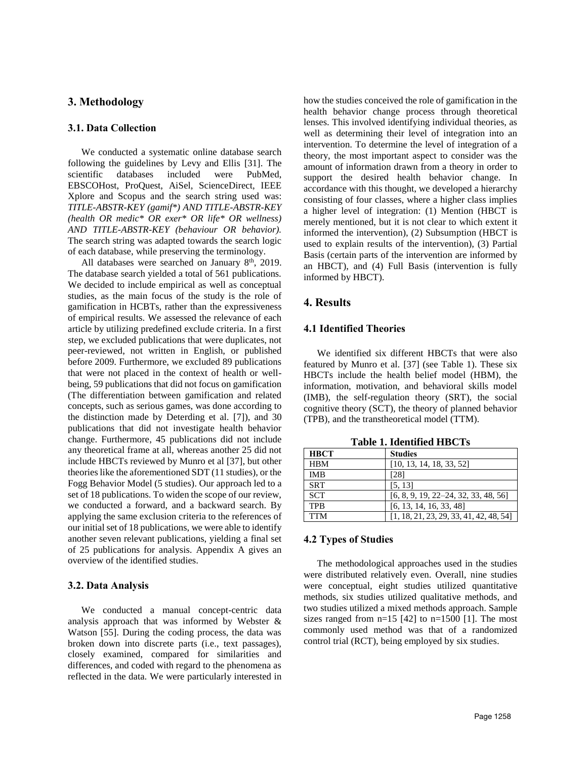## **3. Methodology**

#### **3.1. Data Collection**

We conducted a systematic online database search following the guidelines by Levy and Ellis [31]. The scientific databases included were PubMed, EBSCOHost, ProQuest, AiSel, ScienceDirect, IEEE Xplore and Scopus and the search string used was: *TITLE-ABSTR-KEY (gamif\*) AND TITLE-ABSTR-KEY (health OR medic\* OR exer\* OR life\* OR wellness) AND TITLE-ABSTR-KEY (behaviour OR behavior).*  The search string was adapted towards the search logic of each database, while preserving the terminology.

All databases were searched on January  $8<sup>th</sup>$ , 2019. The database search yielded a total of 561 publications. We decided to include empirical as well as conceptual studies, as the main focus of the study is the role of gamification in HCBTs, rather than the expressiveness of empirical results. We assessed the relevance of each article by utilizing predefined exclude criteria. In a first step, we excluded publications that were duplicates, not peer-reviewed, not written in English, or published before 2009. Furthermore, we excluded 89 publications that were not placed in the context of health or wellbeing, 59 publications that did not focus on gamification (The differentiation between gamification and related concepts, such as serious games, was done according to the distinction made by Deterding et al. [7]), and 30 publications that did not investigate health behavior change. Furthermore, 45 publications did not include any theoretical frame at all, whereas another 25 did not include HBCTs reviewed by Munro et al [37], but other theories like the aforementioned SDT (11 studies), or the Fogg Behavior Model (5 studies). Our approach led to a set of 18 publications. To widen the scope of our review, we conducted a forward, and a backward search. By applying the same exclusion criteria to the references of our initial set of 18 publications, we were able to identify another seven relevant publications, yielding a final set of 25 publications for analysis. Appendix A gives an overview of the identified studies.

## **3.2. Data Analysis**

We conducted a manual concept-centric data analysis approach that was informed by Webster & Watson [55]. During the coding process, the data was broken down into discrete parts (i.e., text passages), closely examined, compared for similarities and differences, and coded with regard to the phenomena as reflected in the data. We were particularly interested in how the studies conceived the role of gamification in the health behavior change process through theoretical lenses. This involved identifying individual theories, as well as determining their level of integration into an intervention. To determine the level of integration of a theory, the most important aspect to consider was the amount of information drawn from a theory in order to support the desired health behavior change. In accordance with this thought, we developed a hierarchy consisting of four classes, where a higher class implies a higher level of integration: (1) Mention (HBCT is merely mentioned, but it is not clear to which extent it informed the intervention), (2) Subsumption (HBCT is used to explain results of the intervention), (3) Partial Basis (certain parts of the intervention are informed by an HBCT), and (4) Full Basis (intervention is fully informed by HBCT).

# **4. Results**

#### **4.1 Identified Theories**

We identified six different HBCTs that were also featured by Munro et al. [37] (see Table 1). These six HBCTs include the health belief model (HBM), the information, motivation, and behavioral skills model (IMB), the self-regulation theory (SRT), the social cognitive theory (SCT), the theory of planned behavior (TPB), and the transtheoretical model (TTM).

| ****** ** *********** **** *** |                                           |  |  |  |  |  |  |
|--------------------------------|-------------------------------------------|--|--|--|--|--|--|
| <b>HBCT</b>                    | <b>Studies</b>                            |  |  |  |  |  |  |
| <b>HBM</b>                     | [10, 13, 14, 18, 33, 52]                  |  |  |  |  |  |  |
| <b>IMB</b>                     | [28]                                      |  |  |  |  |  |  |
| <b>SRT</b>                     | [5, 13]                                   |  |  |  |  |  |  |
| <b>SCT</b>                     | $[6, 8, 9, 19, 22-24, 32, 33, 48, 56]$    |  |  |  |  |  |  |
| <b>TPR</b>                     | [6, 13, 14, 16, 33, 48]                   |  |  |  |  |  |  |
| <b>TTM</b>                     | $[1, 18, 21, 23, 29, 33, 41, 42, 48, 54]$ |  |  |  |  |  |  |

**Table 1. Identified HBCTs**

#### **4.2 Types of Studies**

The methodological approaches used in the studies were distributed relatively even. Overall, nine studies were conceptual, eight studies utilized quantitative methods, six studies utilized qualitative methods, and two studies utilized a mixed methods approach. Sample sizes ranged from  $n=15$  [42] to  $n=1500$  [1]. The most commonly used method was that of a randomized control trial (RCT), being employed by six studies.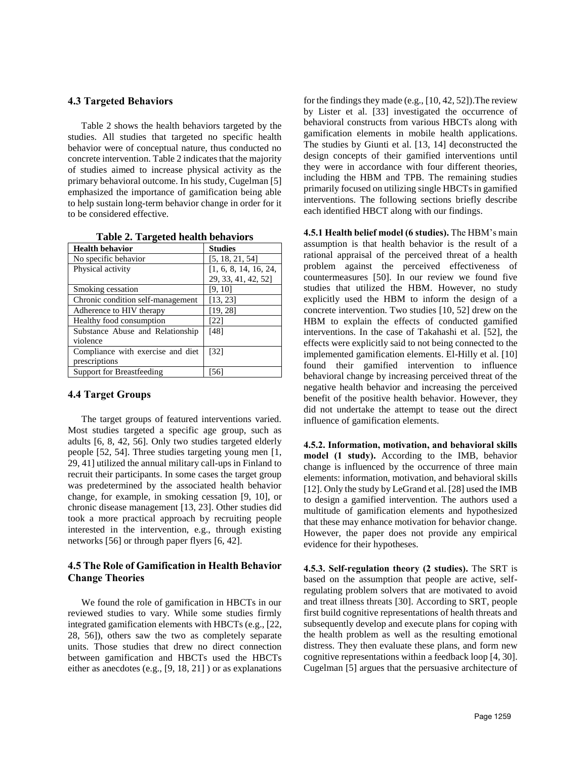#### **4.3 Targeted Behaviors**

Table 2 shows the health behaviors targeted by the studies. All studies that targeted no specific health behavior were of conceptual nature, thus conducted no concrete intervention. Table 2 indicates that the majority of studies aimed to increase physical activity as the primary behavioral outcome. In his study, Cugelman [5] emphasized the importance of gamification being able to help sustain long-term behavior change in order for it to be considered effective.

| <b>Health behavior</b>            | <b>Studies</b>        |  |  |  |
|-----------------------------------|-----------------------|--|--|--|
| No specific behavior              | [5, 18, 21, 54]       |  |  |  |
| Physical activity                 | [1, 6, 8, 14, 16, 24, |  |  |  |
|                                   | 29, 33, 41, 42, 52]   |  |  |  |
| Smoking cessation                 | [9, 10]               |  |  |  |
| Chronic condition self-management | [13, 23]              |  |  |  |
| Adherence to HIV therapy          | [19, 28]              |  |  |  |
| Healthy food consumption          | [22]                  |  |  |  |
| Substance Abuse and Relationship  | [48]                  |  |  |  |
| violence                          |                       |  |  |  |
| Compliance with exercise and diet | $\left[32\right]$     |  |  |  |
| prescriptions                     |                       |  |  |  |
| <b>Support for Breastfeeding</b>  | 56                    |  |  |  |

**Table 2. Targeted health behaviors**

#### **4.4 Target Groups**

The target groups of featured interventions varied. Most studies targeted a specific age group, such as adults [6, 8, 42, 56]. Only two studies targeted elderly people [52, 54]. Three studies targeting young men [1, 29, 41] utilized the annual military call-ups in Finland to recruit their participants. In some cases the target group was predetermined by the associated health behavior change, for example, in smoking cessation [9, 10], or chronic disease management [13, 23]. Other studies did took a more practical approach by recruiting people interested in the intervention, e.g., through existing networks [56] or through paper flyers [6, 42].

## **4.5 The Role of Gamification in Health Behavior Change Theories**

We found the role of gamification in HBCTs in our reviewed studies to vary. While some studies firmly integrated gamification elements with HBCTs (e.g., [22, 28, 56]), others saw the two as completely separate units. Those studies that drew no direct connection between gamification and HBCTs used the HBCTs either as anecdotes (e.g., [9, 18, 21] ) or as explanations

for the findings they made (e.g., [10, 42, 52]).The review by Lister et al. [33] investigated the occurrence of behavioral constructs from various HBCTs along with gamification elements in mobile health applications. The studies by Giunti et al. [13, 14] deconstructed the design concepts of their gamified interventions until they were in accordance with four different theories, including the HBM and TPB. The remaining studies primarily focused on utilizing single HBCTs in gamified interventions. The following sections briefly describe each identified HBCT along with our findings.

**4.5.1 Health belief model (6 studies).** The HBM's main assumption is that health behavior is the result of a rational appraisal of the perceived threat of a health problem against the perceived effectiveness of countermeasures [50]. In our review we found five studies that utilized the HBM. However, no study explicitly used the HBM to inform the design of a concrete intervention. Two studies [10, 52] drew on the HBM to explain the effects of conducted gamified interventions. In the case of Takahashi et al. [52], the effects were explicitly said to not being connected to the implemented gamification elements. El-Hilly et al. [10] found their gamified intervention to influence behavioral change by increasing perceived threat of the negative health behavior and increasing the perceived benefit of the positive health behavior. However, they did not undertake the attempt to tease out the direct influence of gamification elements.

**4.5.2. Information, motivation, and behavioral skills model (1 study).** According to the IMB, behavior change is influenced by the occurrence of three main elements: information, motivation, and behavioral skills [12]. Only the study by LeGrand et al. [28] used the IMB to design a gamified intervention. The authors used a multitude of gamification elements and hypothesized that these may enhance motivation for behavior change. However, the paper does not provide any empirical evidence for their hypotheses.

**4.5.3. Self-regulation theory (2 studies).** The SRT is based on the assumption that people are active, selfregulating problem solvers that are motivated to avoid and treat illness threats [30]. According to SRT, people first build cognitive representations of health threats and subsequently develop and execute plans for coping with the health problem as well as the resulting emotional distress. They then evaluate these plans, and form new cognitive representations within a feedback loop [4, 30]. Cugelman [5] argues that the persuasive architecture of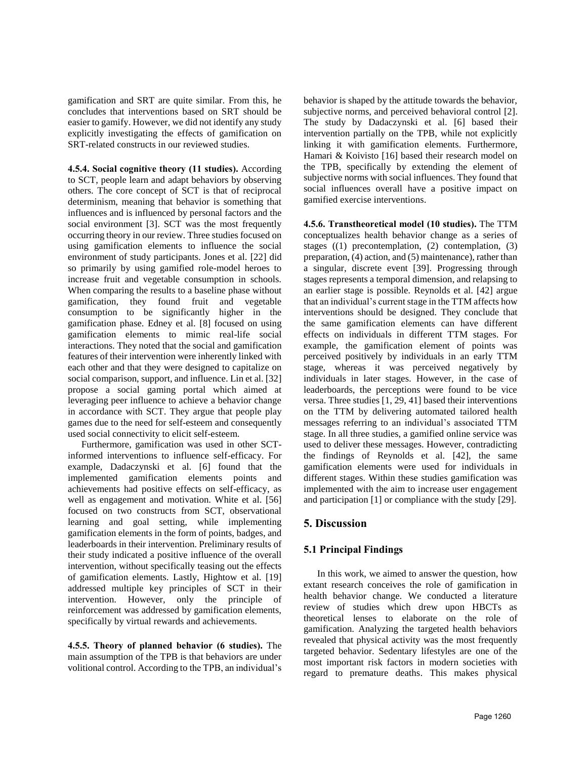gamification and SRT are quite similar. From this, he concludes that interventions based on SRT should be easier to gamify. However, we did not identify any study explicitly investigating the effects of gamification on SRT-related constructs in our reviewed studies.

**4.5.4. Social cognitive theory (11 studies).** According to SCT, people learn and adapt behaviors by observing others. The core concept of SCT is that of reciprocal determinism, meaning that behavior is something that influences and is influenced by personal factors and the social environment [3]. SCT was the most frequently occurring theory in our review. Three studies focused on using gamification elements to influence the social environment of study participants. Jones et al. [22] did so primarily by using gamified role-model heroes to increase fruit and vegetable consumption in schools. When comparing the results to a baseline phase without gamification, they found fruit and vegetable consumption to be significantly higher in the gamification phase. Edney et al. [8] focused on using gamification elements to mimic real-life social interactions. They noted that the social and gamification features of their intervention were inherently linked with each other and that they were designed to capitalize on social comparison, support, and influence. Lin et al. [32] propose a social gaming portal which aimed at leveraging peer influence to achieve a behavior change in accordance with SCT. They argue that people play games due to the need for self-esteem and consequently used social connectivity to elicit self-esteem.

Furthermore, gamification was used in other SCTinformed interventions to influence self-efficacy. For example, Dadaczynski et al. [6] found that the implemented gamification elements points and achievements had positive effects on self-efficacy, as well as engagement and motivation. White et al. [56] focused on two constructs from SCT, observational learning and goal setting, while implementing gamification elements in the form of points, badges, and leaderboards in their intervention. Preliminary results of their study indicated a positive influence of the overall intervention, without specifically teasing out the effects of gamification elements. Lastly, Hightow et al. [19] addressed multiple key principles of SCT in their intervention. However, only the principle of reinforcement was addressed by gamification elements, specifically by virtual rewards and achievements.

**4.5.5. Theory of planned behavior (6 studies).** The main assumption of the TPB is that behaviors are under volitional control. According to the TPB, an individual's behavior is shaped by the attitude towards the behavior, subjective norms, and perceived behavioral control [2]. The study by Dadaczynski et al. [6] based their intervention partially on the TPB, while not explicitly linking it with gamification elements. Furthermore, Hamari & Koivisto [16] based their research model on the TPB, specifically by extending the element of subjective norms with social influences. They found that social influences overall have a positive impact on gamified exercise interventions.

**4.5.6. Transtheoretical model (10 studies).** The TTM conceptualizes health behavior change as a series of stages ((1) precontemplation, (2) contemplation, (3) preparation, (4) action, and (5) maintenance), rather than a singular, discrete event [39]. Progressing through stages represents a temporal dimension, and relapsing to an earlier stage is possible. Reynolds et al. [42] argue that an individual's current stage in the TTM affects how interventions should be designed. They conclude that the same gamification elements can have different effects on individuals in different TTM stages. For example, the gamification element of points was perceived positively by individuals in an early TTM stage, whereas it was perceived negatively by individuals in later stages. However, in the case of leaderboards, the perceptions were found to be vice versa. Three studies [1, 29, 41] based their interventions on the TTM by delivering automated tailored health messages referring to an individual's associated TTM stage. In all three studies, a gamified online service was used to deliver these messages. However, contradicting the findings of Reynolds et al. [42], the same gamification elements were used for individuals in different stages. Within these studies gamification was implemented with the aim to increase user engagement and participation [1] or compliance with the study [29].

# **5. Discussion**

# **5.1 Principal Findings**

In this work, we aimed to answer the question, how extant research conceives the role of gamification in health behavior change. We conducted a literature review of studies which drew upon HBCTs as theoretical lenses to elaborate on the role of gamification. Analyzing the targeted health behaviors revealed that physical activity was the most frequently targeted behavior. Sedentary lifestyles are one of the most important risk factors in modern societies with regard to premature deaths. This makes physical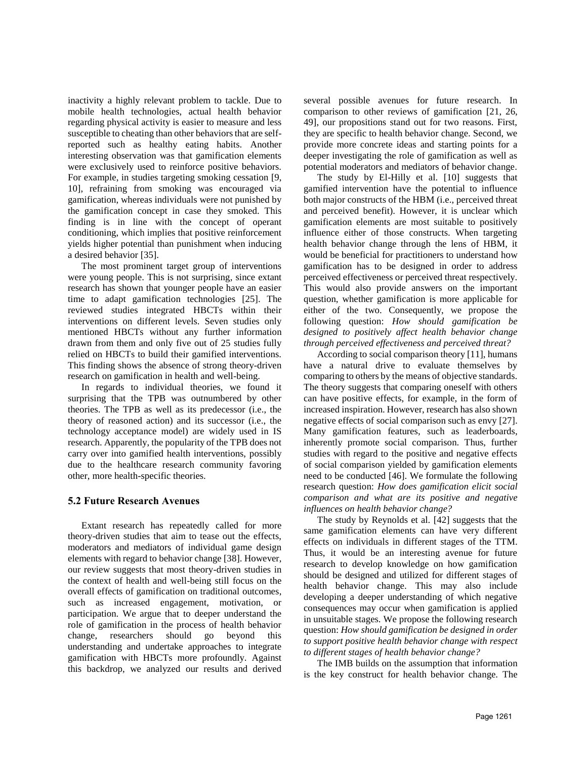inactivity a highly relevant problem to tackle. Due to mobile health technologies, actual health behavior regarding physical activity is easier to measure and less susceptible to cheating than other behaviors that are selfreported such as healthy eating habits. Another interesting observation was that gamification elements were exclusively used to reinforce positive behaviors. For example, in studies targeting smoking cessation [9, 10], refraining from smoking was encouraged via gamification, whereas individuals were not punished by the gamification concept in case they smoked. This finding is in line with the concept of operant conditioning, which implies that positive reinforcement yields higher potential than punishment when inducing a desired behavior [35].

The most prominent target group of interventions were young people. This is not surprising, since extant research has shown that younger people have an easier time to adapt gamification technologies [25]. The reviewed studies integrated HBCTs within their interventions on different levels. Seven studies only mentioned HBCTs without any further information drawn from them and only five out of 25 studies fully relied on HBCTs to build their gamified interventions. This finding shows the absence of strong theory-driven research on gamification in health and well-being.

In regards to individual theories, we found it surprising that the TPB was outnumbered by other theories. The TPB as well as its predecessor (i.e., the theory of reasoned action) and its successor (i.e., the technology acceptance model) are widely used in IS research. Apparently, the popularity of the TPB does not carry over into gamified health interventions, possibly due to the healthcare research community favoring other, more health-specific theories.

## **5.2 Future Research Avenues**

Extant research has repeatedly called for more theory-driven studies that aim to tease out the effects, moderators and mediators of individual game design elements with regard to behavior change [38]. However, our review suggests that most theory-driven studies in the context of health and well-being still focus on the overall effects of gamification on traditional outcomes, such as increased engagement, motivation, or participation. We argue that to deeper understand the role of gamification in the process of health behavior change, researchers should go beyond this understanding and undertake approaches to integrate gamification with HBCTs more profoundly. Against this backdrop, we analyzed our results and derived several possible avenues for future research. In comparison to other reviews of gamification [21, 26, 49], our propositions stand out for two reasons. First, they are specific to health behavior change. Second, we provide more concrete ideas and starting points for a deeper investigating the role of gamification as well as potential moderators and mediators of behavior change.

The study by El-Hilly et al. [10] suggests that gamified intervention have the potential to influence both major constructs of the HBM (i.e., perceived threat and perceived benefit). However, it is unclear which gamification elements are most suitable to positively influence either of those constructs. When targeting health behavior change through the lens of HBM, it would be beneficial for practitioners to understand how gamification has to be designed in order to address perceived effectiveness or perceived threat respectively. This would also provide answers on the important question, whether gamification is more applicable for either of the two. Consequently, we propose the following question: *How should gamification be designed to positively affect health behavior change through perceived effectiveness and perceived threat?*

According to social comparison theory [11], humans have a natural drive to evaluate themselves by comparing to others by the means of objective standards. The theory suggests that comparing oneself with others can have positive effects, for example, in the form of increased inspiration. However, research has also shown negative effects of social comparison such as envy [27]. Many gamification features, such as leaderboards, inherently promote social comparison. Thus, further studies with regard to the positive and negative effects of social comparison yielded by gamification elements need to be conducted [46]. We formulate the following research question: *How does gamification elicit social comparison and what are its positive and negative influences on health behavior change?*

The study by Reynolds et al. [42] suggests that the same gamification elements can have very different effects on individuals in different stages of the TTM. Thus, it would be an interesting avenue for future research to develop knowledge on how gamification should be designed and utilized for different stages of health behavior change. This may also include developing a deeper understanding of which negative consequences may occur when gamification is applied in unsuitable stages. We propose the following research question: *How should gamification be designed in order to support positive health behavior change with respect to different stages of health behavior change?*

The IMB builds on the assumption that information is the key construct for health behavior change. The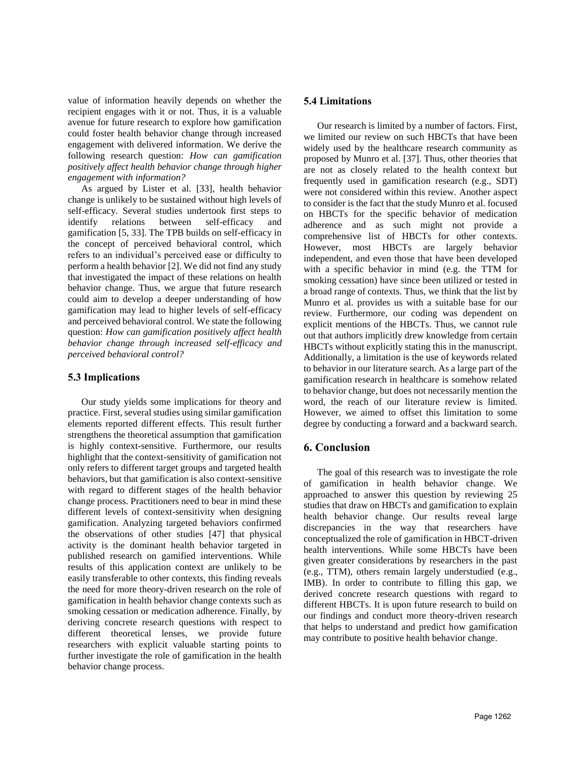value of information heavily depends on whether the recipient engages with it or not. Thus, it is a valuable avenue for future research to explore how gamification could foster health behavior change through increased engagement with delivered information. We derive the following research question: *How can gamification positively affect health behavior change through higher engagement with information?*

As argued by Lister et al. [33], health behavior change is unlikely to be sustained without high levels of self-efficacy. Several studies undertook first steps to identify relations between self-efficacy and gamification [5, 33]. The TPB builds on self-efficacy in the concept of perceived behavioral control, which refers to an individual's perceived ease or difficulty to perform a health behavior [2]. We did not find any study that investigated the impact of these relations on health behavior change. Thus, we argue that future research could aim to develop a deeper understanding of how gamification may lead to higher levels of self-efficacy and perceived behavioral control. We state the following question: *How can gamification positively affect health behavior change through increased self-efficacy and perceived behavioral control?* 

# **5.3 Implications**

Our study yields some implications for theory and practice. First, several studies using similar gamification elements reported different effects. This result further strengthens the theoretical assumption that gamification is highly context-sensitive. Furthermore, our results highlight that the context-sensitivity of gamification not only refers to different target groups and targeted health behaviors, but that gamification is also context-sensitive with regard to different stages of the health behavior change process. Practitioners need to bear in mind these different levels of context-sensitivity when designing gamification. Analyzing targeted behaviors confirmed the observations of other studies [47] that physical activity is the dominant health behavior targeted in published research on gamified interventions. While results of this application context are unlikely to be easily transferable to other contexts, this finding reveals the need for more theory-driven research on the role of gamification in health behavior change contexts such as smoking cessation or medication adherence. Finally, by deriving concrete research questions with respect to different theoretical lenses, we provide future researchers with explicit valuable starting points to further investigate the role of gamification in the health behavior change process.

## **5.4 Limitations**

Our research is limited by a number of factors. First, we limited our review on such HBCTs that have been widely used by the healthcare research community as proposed by Munro et al. [37]. Thus, other theories that are not as closely related to the health context but frequently used in gamification research (e.g., SDT) were not considered within this review. Another aspect to consider is the fact that the study Munro et al. focused on HBCTs for the specific behavior of medication adherence and as such might not provide a comprehensive list of HBCTs for other contexts. However, most HBCTs are largely behavior independent, and even those that have been developed with a specific behavior in mind (e.g. the TTM for smoking cessation) have since been utilized or tested in a broad range of contexts. Thus, we think that the list by Munro et al. provides us with a suitable base for our review. Furthermore, our coding was dependent on explicit mentions of the HBCTs. Thus, we cannot rule out that authors implicitly drew knowledge from certain HBCTs without explicitly stating this in the manuscript. Additionally, a limitation is the use of keywords related to behavior in our literature search. As a large part of the gamification research in healthcare is somehow related to behavior change, but does not necessarily mention the word, the reach of our literature review is limited. However, we aimed to offset this limitation to some degree by conducting a forward and a backward search.

## **6. Conclusion**

The goal of this research was to investigate the role of gamification in health behavior change. We approached to answer this question by reviewing 25 studies that draw on HBCTs and gamification to explain health behavior change. Our results reveal large discrepancies in the way that researchers have conceptualized the role of gamification in HBCT-driven health interventions. While some HBCTs have been given greater considerations by researchers in the past (e.g., TTM), others remain largely understudied (e.g., IMB). In order to contribute to filling this gap, we derived concrete research questions with regard to different HBCTs. It is upon future research to build on our findings and conduct more theory-driven research that helps to understand and predict how gamification may contribute to positive health behavior change.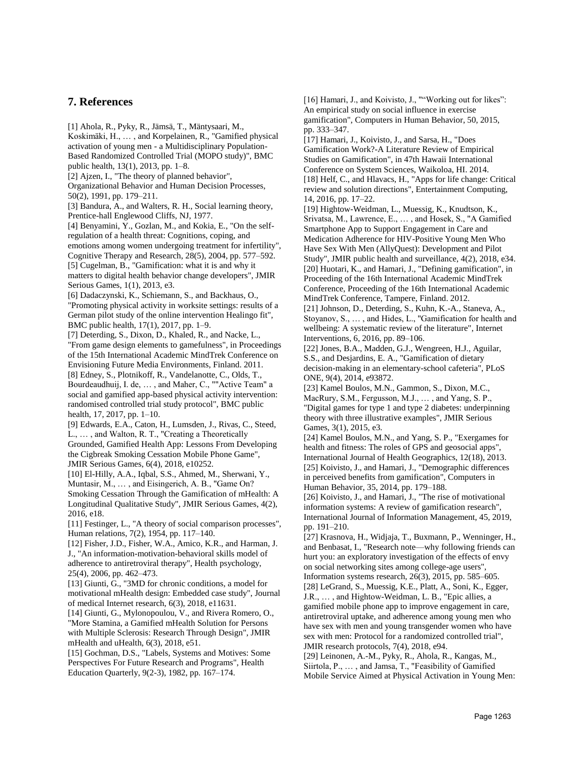# **7. References**

[1] Ahola, R., Pyky, R., Jämsä, T., Mäntysaari, M., Koskimäki, H., … , and Korpelainen, R., "Gamified physical activation of young men - a Multidisciplinary Population-Based Randomized Controlled Trial (MOPO study)", BMC public health, 13(1), 2013, pp. 1–8.

[2] Ajzen, I., "The theory of planned behavior",

Organizational Behavior and Human Decision Processes, 50(2), 1991, pp. 179–211.

[3] Bandura, A., and Walters, R. H., Social learning theory, Prentice-hall Englewood Cliffs, NJ, 1977.

[4] Benyamini, Y., Gozlan, M., and Kokia, E., "On the selfregulation of a health threat: Cognitions, coping, and emotions among women undergoing treatment for infertility", Cognitive Therapy and Research, 28(5), 2004, pp. 577–592. [5] Cugelman, B., "Gamification: what it is and why it matters to digital health behavior change developers", JMIR Serious Games, 1(1), 2013, e3.

[6] Dadaczynski, K., Schiemann, S., and Backhaus, O., "Promoting physical activity in worksite settings: results of a German pilot study of the online intervention Healingo fit", BMC public health, 17(1), 2017, pp. 1–9.

[7] Deterding, S., Dixon, D., Khaled, R., and Nacke, L., "From game design elements to gamefulness", in Proceedings of the 15th International Academic MindTrek Conference on Envisioning Future Media Environments, Finland. 2011. [8] Edney, S., Plotnikoff, R., Vandelanotte, C., Olds, T., Bourdeaudhuij, I. de, … , and Maher, C., ""Active Team" a social and gamified app-based physical activity intervention: randomised controlled trial study protocol", BMC public health, 17, 2017, pp. 1–10.

[9] Edwards, E.A., Caton, H., Lumsden, J., Rivas, C., Steed, L., … , and Walton, R. T., "Creating a Theoretically Grounded, Gamified Health App: Lessons From Developing the Cigbreak Smoking Cessation Mobile Phone Game", JMIR Serious Games, 6(4), 2018, e10252.

[10] El-Hilly, A.A., Iqbal, S.S., Ahmed, M., Sherwani, Y., Muntasir, M., … , and Eisingerich, A. B., "Game On? Smoking Cessation Through the Gamification of mHealth: A Longitudinal Qualitative Study", JMIR Serious Games, 4(2), 2016, e18.

[11] Festinger, L., "A theory of social comparison processes", Human relations, 7(2), 1954, pp. 117–140.

[12] Fisher, J.D., Fisher, W.A., Amico, K.R., and Harman, J. J., "An information-motivation-behavioral skills model of adherence to antiretroviral therapy", Health psychology, 25(4), 2006, pp. 462–473.

[13] Giunti, G., "3MD for chronic conditions, a model for motivational mHealth design: Embedded case study", Journal of medical Internet research, 6(3), 2018, e11631.

[14] Giunti, G., Mylonopoulou, V., and Rivera Romero, O., "More Stamina, a Gamified mHealth Solution for Persons with Multiple Sclerosis: Research Through Design", JMIR mHealth and uHealth, 6(3), 2018, e51.

[15] Gochman, D.S., "Labels, Systems and Motives: Some Perspectives For Future Research and Programs", Health Education Quarterly, 9(2-3), 1982, pp. 167–174.

[16] Hamari, J., and Koivisto, J., ""Working out for likes": An empirical study on social influence in exercise gamification", Computers in Human Behavior, 50, 2015, pp. 333–347.

[17] Hamari, J., Koivisto, J., and Sarsa, H., "Does Gamification Work?-A Literature Review of Empirical Studies on Gamification", in 47th Hawaii International Conference on System Sciences, Waikoloa, HI. 2014. [18] Helf, C., and Hlavacs, H., "Apps for life change: Critical review and solution directions", Entertainment Computing, 14, 2016, pp. 17–22.

[19] Hightow-Weidman, L., Muessig, K., Knudtson, K., Srivatsa, M., Lawrence, E., … , and Hosek, S., "A Gamified Smartphone App to Support Engagement in Care and Medication Adherence for HIV-Positive Young Men Who Have Sex With Men (AllyQuest): Development and Pilot Study", JMIR public health and surveillance, 4(2), 2018, e34. [20] Huotari, K., and Hamari, J., "Defining gamification", in Proceeding of the 16th International Academic MindTrek Conference, Proceeding of the 16th International Academic MindTrek Conference, Tampere, Finland. 2012.

[21] Johnson, D., Deterding, S., Kuhn, K.-A., Staneva, A., Stoyanov, S., … , and Hides, L., "Gamification for health and wellbeing: A systematic review of the literature", Internet Interventions, 6, 2016, pp. 89–106.

[22] Jones, B.A., Madden, G.J., Wengreen, H.J., Aguilar, S.S., and Desjardins, E. A., "Gamification of dietary decision-making in an elementary-school cafeteria", PLoS ONE, 9(4), 2014, e93872.

[23] Kamel Boulos, M.N., Gammon, S., Dixon, M.C., MacRury, S.M., Fergusson, M.J., … , and Yang, S. P., "Digital games for type 1 and type 2 diabetes: underpinning theory with three illustrative examples", JMIR Serious Games, 3(1), 2015, e3.

[24] Kamel Boulos, M.N., and Yang, S. P., "Exergames for health and fitness: The roles of GPS and geosocial apps", International Journal of Health Geographics, 12(18), 2013. [25] Koivisto, J., and Hamari, J., "Demographic differences in perceived benefits from gamification", Computers in Human Behavior, 35, 2014, pp. 179–188.

[26] Koivisto, J., and Hamari, J., "The rise of motivational information systems: A review of gamification research", International Journal of Information Management, 45, 2019, pp. 191–210.

[27] Krasnova, H., Widjaja, T., Buxmann, P., Wenninger, H., and Benbasat, I., "Research note—why following friends can hurt you: an exploratory investigation of the effects of envy on social networking sites among college-age users", Information systems research, 26(3), 2015, pp. 585–605. [28] LeGrand, S., Muessig, K.E., Platt, A., Soni, K., Egger, J.R., … , and Hightow-Weidman, L. B., "Epic allies, a gamified mobile phone app to improve engagement in care, antiretroviral uptake, and adherence among young men who have sex with men and young transgender women who have sex with men: Protocol for a randomized controlled trial", JMIR research protocols, 7(4), 2018, e94.

[29] Leinonen, A.-M., Pyky, R., Ahola, R., Kangas, M., Siirtola, P., … , and Jamsa, T., "Feasibility of Gamified Mobile Service Aimed at Physical Activation in Young Men: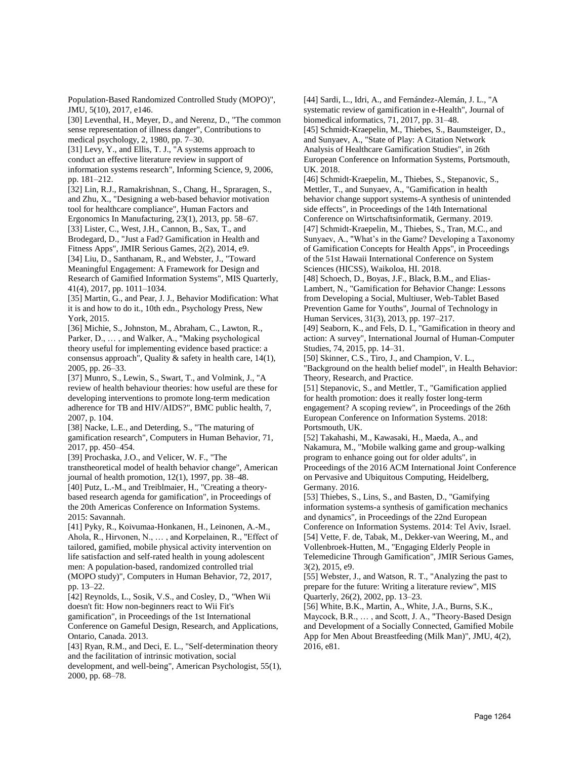Population-Based Randomized Controlled Study (MOPO)", JMU, 5(10), 2017, e146.

[30] Leventhal, H., Meyer, D., and Nerenz, D., "The common sense representation of illness danger", Contributions to medical psychology, 2, 1980, pp. 7–30.

[31] Levy, Y., and Ellis, T. J., "A systems approach to conduct an effective literature review in support of information systems research", Informing Science, 9, 2006, pp. 181–212.

[32] Lin, R.J., Ramakrishnan, S., Chang, H., Spraragen, S., and Zhu, X., "Designing a web-based behavior motivation tool for healthcare compliance", Human Factors and Ergonomics In Manufacturing, 23(1), 2013, pp. 58–67.

[33] Lister, C., West, J.H., Cannon, B., Sax, T., and Brodegard, D., "Just a Fad? Gamification in Health and Fitness Apps", JMIR Serious Games, 2(2), 2014, e9. [34] Liu, D., Santhanam, R., and Webster, J., "Toward Meaningful Engagement: A Framework for Design and Research of Gamified Information Systems", MIS Quarterly, 41(4), 2017, pp. 1011–1034.

[35] Martin, G., and Pear, J. J., Behavior Modification: What it is and how to do it., 10th edn., Psychology Press, New York, 2015.

[36] Michie, S., Johnston, M., Abraham, C., Lawton, R., Parker, D., … , and Walker, A., "Making psychological theory useful for implementing evidence based practice: a consensus approach", Quality & safety in health care, 14(1), 2005, pp. 26–33.

[37] Munro, S., Lewin, S., Swart, T., and Volmink, J., "A review of health behaviour theories: how useful are these for developing interventions to promote long-term medication adherence for TB and HIV/AIDS?", BMC public health, 7, 2007, p. 104.

[38] Nacke, L.E., and Deterding, S., "The maturing of gamification research", Computers in Human Behavior, 71, 2017, pp. 450–454.

[39] Prochaska, J.O., and Velicer, W. F., "The transtheoretical model of health behavior change", American journal of health promotion, 12(1), 1997, pp. 38–48. [40] Putz, L.-M., and Treiblmaier, H., "Creating a theorybased research agenda for gamification", in Proceedings of the 20th Americas Conference on Information Systems. 2015: Savannah.

[41] Pyky, R., Koivumaa-Honkanen, H., Leinonen, A.-M., Ahola, R., Hirvonen, N., … , and Korpelainen, R., "Effect of tailored, gamified, mobile physical activity intervention on life satisfaction and self-rated health in young adolescent men: A population-based, randomized controlled trial (MOPO study)", Computers in Human Behavior, 72, 2017, pp. 13–22.

[42] Reynolds, L., Sosik, V.S., and Cosley, D., "When Wii doesn't fit: How non-beginners react to Wii Fit's gamification", in Proceedings of the 1st International Conference on Gameful Design, Research, and Applications, Ontario, Canada. 2013.

[43] Ryan, R.M., and Deci, E. L., "Self-determination theory and the facilitation of intrinsic motivation, social

development, and well-being", American Psychologist, 55(1), 2000, pp. 68–78.

[44] Sardi, L., Idri, A., and Fernández-Alemán, J. L., "A systematic review of gamification in e-Health", Journal of biomedical informatics, 71, 2017, pp. 31–48.

[45] Schmidt-Kraepelin, M., Thiebes, S., Baumsteiger, D., and Sunyaev, A., "State of Play: A Citation Network Analysis of Healthcare Gamification Studies", in 26th European Conference on Information Systems, Portsmouth, UK. 2018.

[46] Schmidt-Kraepelin, M., Thiebes, S., Stepanovic, S., Mettler, T., and Sunyaev, A., "Gamification in health behavior change support systems-A synthesis of unintended side effects", in Proceedings of the 14th International Conference on Wirtschaftsinformatik, Germany. 2019. [47] Schmidt-Kraepelin, M., Thiebes, S., Tran, M.C., and Sunyaev, A., "What's in the Game? Developing a Taxonomy of Gamification Concepts for Health Apps", in Proceedings of the 51st Hawaii International Conference on System Sciences (HICSS), Waikoloa, HI. 2018.

[48] Schoech, D., Boyas, J.F., Black, B.M., and Elias-Lambert, N., "Gamification for Behavior Change: Lessons from Developing a Social, Multiuser, Web-Tablet Based Prevention Game for Youths", Journal of Technology in Human Services, 31(3), 2013, pp. 197–217.

[49] Seaborn, K., and Fels, D. I., "Gamification in theory and action: A survey", International Journal of Human-Computer Studies, 74, 2015, pp. 14–31.

[50] Skinner, C.S., Tiro, J., and Champion, V. L., "Background on the health belief model", in Health Behavior: Theory, Research, and Practice.

[51] Stepanovic, S., and Mettler, T., "Gamification applied for health promotion: does it really foster long-term engagement? A scoping review", in Proceedings of the 26th European Conference on Information Systems. 2018: Portsmouth, UK.

[52] Takahashi, M., Kawasaki, H., Maeda, A., and Nakamura, M., "Mobile walking game and group-walking program to enhance going out for older adults", in Proceedings of the 2016 ACM International Joint Conference on Pervasive and Ubiquitous Computing, Heidelberg, Germany. 2016.

[53] Thiebes, S., Lins, S., and Basten, D., "Gamifying information systems-a synthesis of gamification mechanics and dynamics", in Proceedings of the 22nd European

Conference on Information Systems. 2014: Tel Aviv, Israel. [54] Vette, F. de, Tabak, M., Dekker-van Weering, M., and Vollenbroek-Hutten, M., "Engaging Elderly People in Telemedicine Through Gamification", JMIR Serious Games, 3(2), 2015, e9.

[55] Webster, J., and Watson, R. T., "Analyzing the past to prepare for the future: Writing a literature review", MIS Quarterly, 26(2), 2002, pp. 13–23.

[56] White, B.K., Martin, A., White, J.A., Burns, S.K., Maycock, B.R., … , and Scott, J. A., "Theory-Based Design and Development of a Socially Connected, Gamified Mobile App for Men About Breastfeeding (Milk Man)", JMU, 4(2), 2016, e81.